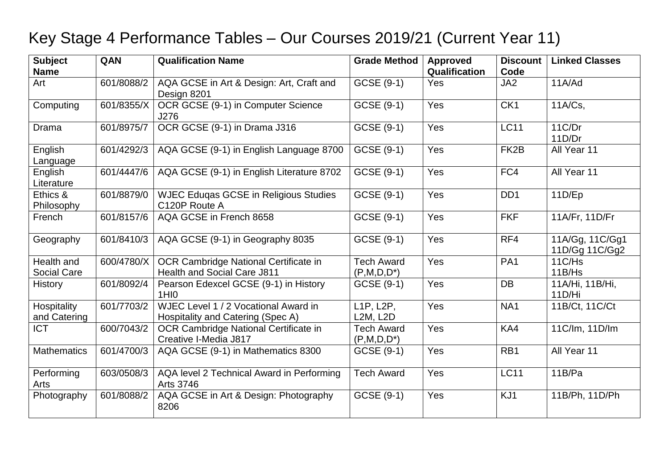## Key Stage 4 Performance Tables – Our Courses 2019/21 (Current Year 11)

| <b>Subject</b><br><b>Name</b>    | QAN        | <b>Qualification Name</b>                                                   | <b>Grade Method</b>                | <b>Approved</b><br>Qualification | <b>Discount</b><br>Code | <b>Linked Classes</b>             |
|----------------------------------|------------|-----------------------------------------------------------------------------|------------------------------------|----------------------------------|-------------------------|-----------------------------------|
| Art                              | 601/8088/2 | AQA GCSE in Art & Design: Art, Craft and<br>Design 8201                     | GCSE (9-1)                         | Yes                              | JA <sub>2</sub>         | 11A/Ad                            |
| Computing                        | 601/8355/X | OCR GCSE (9-1) in Computer Science<br>J276                                  | GCSE (9-1)                         | Yes                              | CK1                     | 11A/Cs,                           |
| <b>Drama</b>                     | 601/8975/7 | OCR GCSE (9-1) in Drama J316                                                | GCSE (9-1)                         | Yes                              | <b>LC11</b>             | 11C/Dr<br>11D/Dr                  |
| English<br>Language              | 601/4292/3 | AQA GCSE (9-1) in English Language 8700                                     | GCSE (9-1)                         | Yes                              | FK <sub>2</sub> B       | All Year 11                       |
| English<br>Literature            | 601/4447/6 | AQA GCSE (9-1) in English Literature 8702                                   | GCSE (9-1)                         | Yes                              | FC4                     | All Year 11                       |
| Ethics &<br>Philosophy           | 601/8879/0 | <b>WJEC Eduqas GCSE in Religious Studies</b><br>C120P Route A               | GCSE (9-1)                         | Yes                              | DD <sub>1</sub>         | 11D/Ep                            |
| French                           | 601/8157/6 | AQA GCSE in French 8658                                                     | GCSE (9-1)                         | Yes                              | <b>FKF</b>              | 11A/Fr, 11D/Fr                    |
| Geography                        | 601/8410/3 | AQA GCSE (9-1) in Geography 8035                                            | GCSE (9-1)                         | Yes                              | RF4                     | 11A/Gg, 11C/Gg1<br>11D/Gg 11C/Gg2 |
| Health and<br><b>Social Care</b> | 600/4780/X | OCR Cambridge National Certificate in<br><b>Health and Social Care J811</b> | <b>Tech Award</b><br>$(P,M,D,D^*)$ | Yes                              | PA <sub>1</sub>         | 11C/Hs<br>11B/Hs                  |
| <b>History</b>                   | 601/8092/4 | Pearson Edexcel GCSE (9-1) in History<br>1HI <sub>0</sub>                   | GCSE (9-1)                         | Yes                              | <b>DB</b>               | 11A/Hi, 11B/Hi,<br>11D/Hi         |
| Hospitality<br>and Catering      | 601/7703/2 | WJEC Level 1 / 2 Vocational Award in<br>Hospitality and Catering (Spec A)   | L1P, L2P,<br><b>L2M, L2D</b>       | Yes                              | NA1                     | 11B/Ct, 11C/Ct                    |
| <b>ICT</b>                       | 600/7043/2 | OCR Cambridge National Certificate in<br>Creative I-Media J817              | <b>Tech Award</b><br>$(P,M,D,D^*)$ | Yes                              | KA4                     | 11C/lm, 11D/lm                    |
| <b>Mathematics</b>               | 601/4700/3 | AQA GCSE (9-1) in Mathematics 8300                                          | GCSE (9-1)                         | Yes                              | RB <sub>1</sub>         | All Year 11                       |
| Performing<br>Arts               | 603/0508/3 | AQA level 2 Technical Award in Performing<br><b>Arts 3746</b>               | <b>Tech Award</b>                  | Yes                              | <b>LC11</b>             | 11B/Pa                            |
| Photography                      | 601/8088/2 | AQA GCSE in Art & Design: Photography<br>8206                               | GCSE (9-1)                         | Yes                              | KJ1                     | 11B/Ph, 11D/Ph                    |